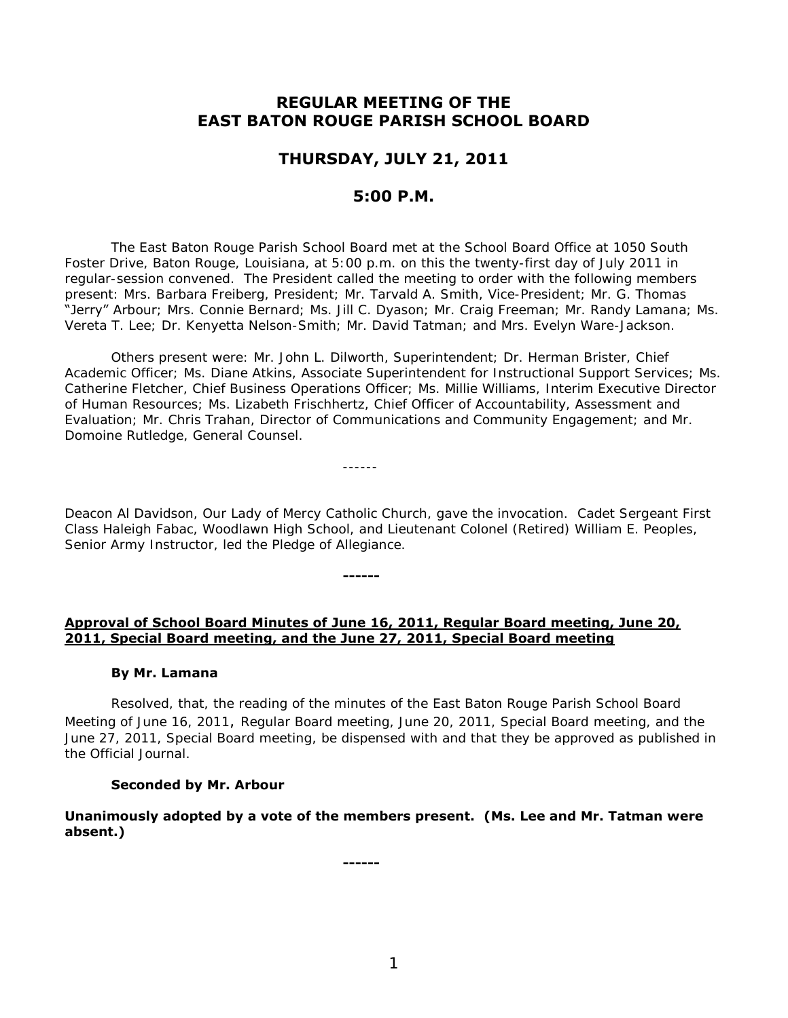# **REGULAR MEETING OF THE EAST BATON ROUGE PARISH SCHOOL BOARD**

# **THURSDAY, JULY 21, 2011**

## **5:00 P.M.**

 The East Baton Rouge Parish School Board met at the School Board Office at 1050 South Foster Drive, Baton Rouge, Louisiana, at 5:00 p.m. on this the twenty-first day of July 2011 in regular-session convened. The President called the meeting to order with the following members present: Mrs. Barbara Freiberg, President; Mr. Tarvald A. Smith, Vice-President; Mr. G. Thomas "Jerry" Arbour; Mrs. Connie Bernard; Ms. Jill C. Dyason; Mr. Craig Freeman; Mr. Randy Lamana; Ms. Vereta T. Lee; Dr. Kenyetta Nelson-Smith; Mr. David Tatman; and Mrs. Evelyn Ware-Jackson.

Others present were: Mr. John L. Dilworth, Superintendent; Dr. Herman Brister, Chief Academic Officer; Ms. Diane Atkins, Associate Superintendent for Instructional Support Services; Ms. Catherine Fletcher, Chief Business Operations Officer; Ms. Millie Williams, Interim Executive Director of Human Resources; Ms. Lizabeth Frischhertz, Chief Officer of Accountability, Assessment and Evaluation; Mr. Chris Trahan, Director of Communications and Community Engagement; and Mr. Domoine Rutledge, General Counsel.

------

**------**

Deacon Al Davidson, Our Lady of Mercy Catholic Church, gave the invocation. Cadet Sergeant First Class Haleigh Fabac, Woodlawn High School, and Lieutenant Colonel (Retired) William E. Peoples, Senior Army Instructor, led the Pledge of Allegiance.

### **Approval of School Board Minutes of June 16, 2011, Regular Board meeting, June 20, 2011, Special Board meeting, and the June 27, 2011, Special Board meeting**

#### **By Mr. Lamana**

Resolved, that, the reading of the minutes of the East Baton Rouge Parish School Board Meeting of June 16, 2011, Regular Board meeting, June 20, 2011, Special Board meeting, and the June 27, 2011, Special Board meeting, be dispensed with and that they be approved as published in the Official Journal.

### **Seconded by Mr. Arbour**

**Unanimously adopted by a vote of the members present. (Ms. Lee and Mr. Tatman were absent.)** 

**------**

1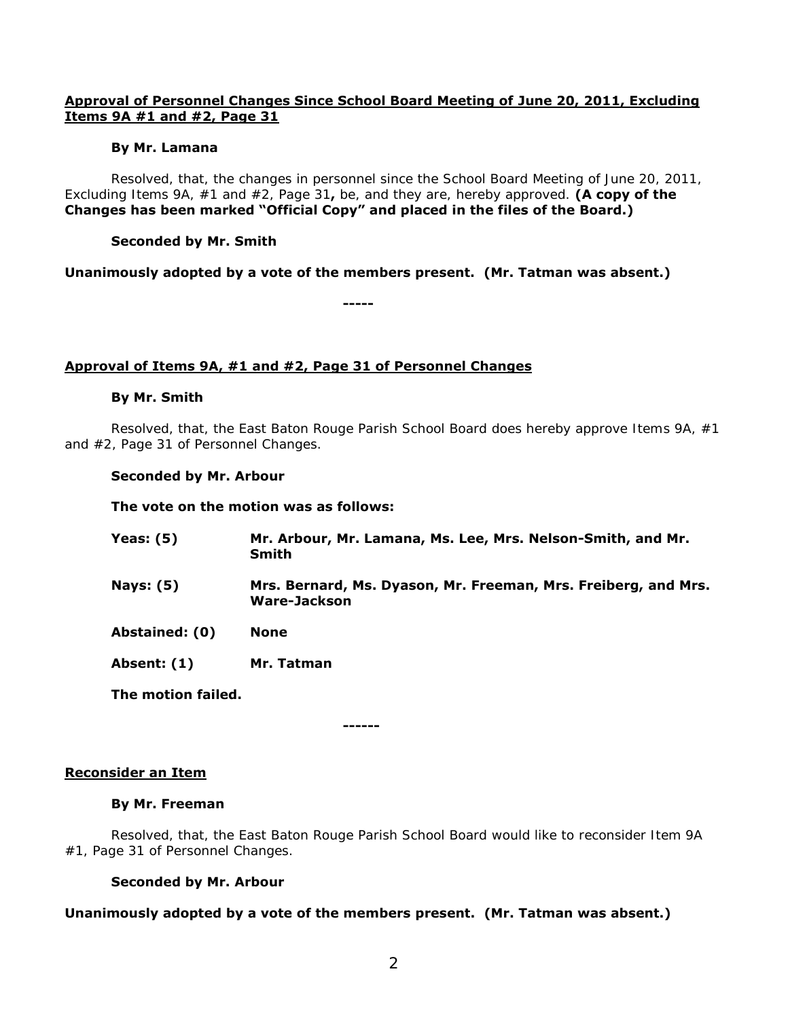## **Approval of Personnel Changes Since School Board Meeting of June 20, 2011, Excluding Items 9A #1 and #2, Page 31**

### **By Mr. Lamana**

 Resolved, that, the changes in personnel since the School Board Meeting of June 20, 2011, Excluding Items 9A, #1 and #2, Page 31**,** be, and they are, hereby approved. **(A copy of the Changes has been marked "Official Copy" and placed in the files of the Board.)**

## **Seconded by Mr. Smith**

**Unanimously adopted by a vote of the members present. (Mr. Tatman was absent.)** 

**-----**

## **Approval of Items 9A, #1 and #2, Page 31 of Personnel Changes**

### **By Mr. Smith**

 Resolved, that, the East Baton Rouge Parish School Board does hereby approve Items 9A, #1 and #2, Page 31 of Personnel Changes.

### **Seconded by Mr. Arbour**

**The vote on the motion was as follows:** 

| Yeas: $(5)$      | Mr. Arbour, Mr. Lamana, Ms. Lee, Mrs. Nelson-Smith, and Mr.<br>Smith                  |
|------------------|---------------------------------------------------------------------------------------|
| <b>Nays: (5)</b> | Mrs. Bernard, Ms. Dyason, Mr. Freeman, Mrs. Freiberg, and Mrs.<br><b>Ware-Jackson</b> |
| Abstained: (0)   | <b>None</b>                                                                           |
| Absent: (1)      | Mr. Tatman                                                                            |

**The motion failed.** 

**------**

### **Reconsider an Item**

### **By Mr. Freeman**

Resolved, that, the East Baton Rouge Parish School Board would like to reconsider Item 9A #1, Page 31 of Personnel Changes.

## **Seconded by Mr. Arbour**

## **Unanimously adopted by a vote of the members present. (Mr. Tatman was absent.)**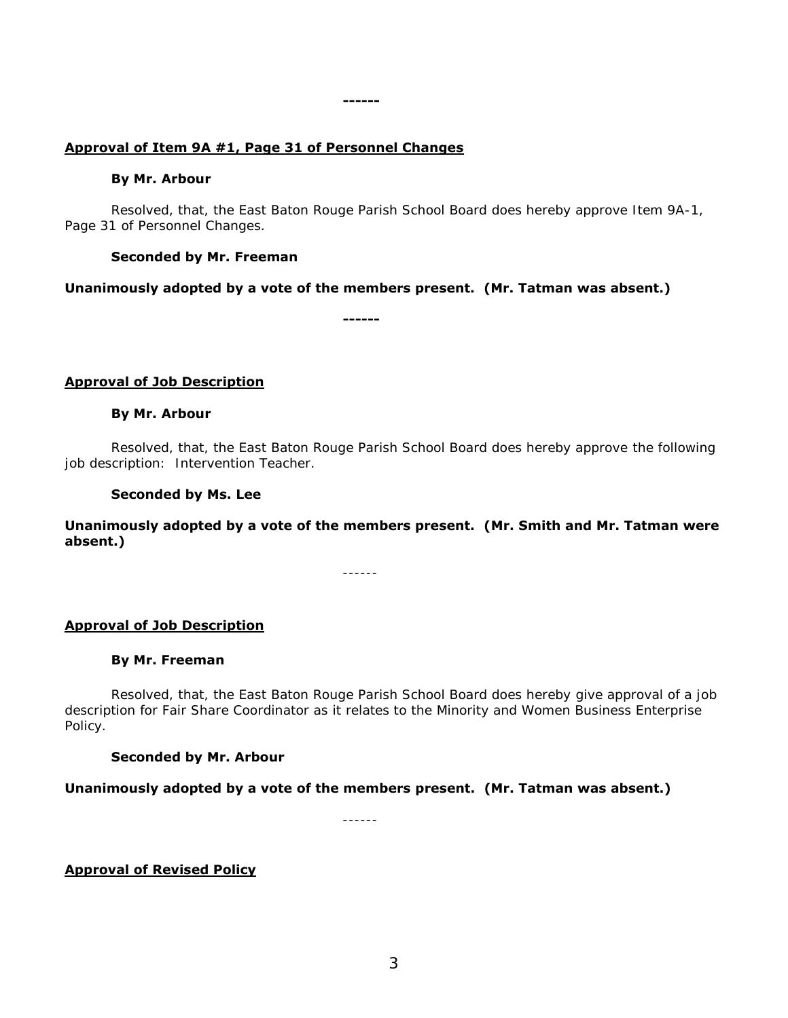## **Approval of Item 9A #1, Page 31 of Personnel Changes**

#### **By Mr. Arbour**

Resolved, that, the East Baton Rouge Parish School Board does hereby approve Item 9A-1, Page 31 of Personnel Changes.

#### **Seconded by Mr. Freeman**

#### **Unanimously adopted by a vote of the members present. (Mr. Tatman was absent.)**

**------**

**------**

### **Approval of Job Description**

#### **By Mr. Arbour**

Resolved, that, the East Baton Rouge Parish School Board does hereby approve the following job description: Intervention Teacher.

#### **Seconded by Ms. Lee**

**Unanimously adopted by a vote of the members present. (Mr. Smith and Mr. Tatman were absent.)** 

------

### **Approval of Job Description**

### **By Mr. Freeman**

Resolved, that, the East Baton Rouge Parish School Board does hereby give approval of a job description for Fair Share Coordinator as it relates to the Minority and Women Business Enterprise Policy.

### **Seconded by Mr. Arbour**

### **Unanimously adopted by a vote of the members present. (Mr. Tatman was absent.)**

------

## **Approval of Revised Policy**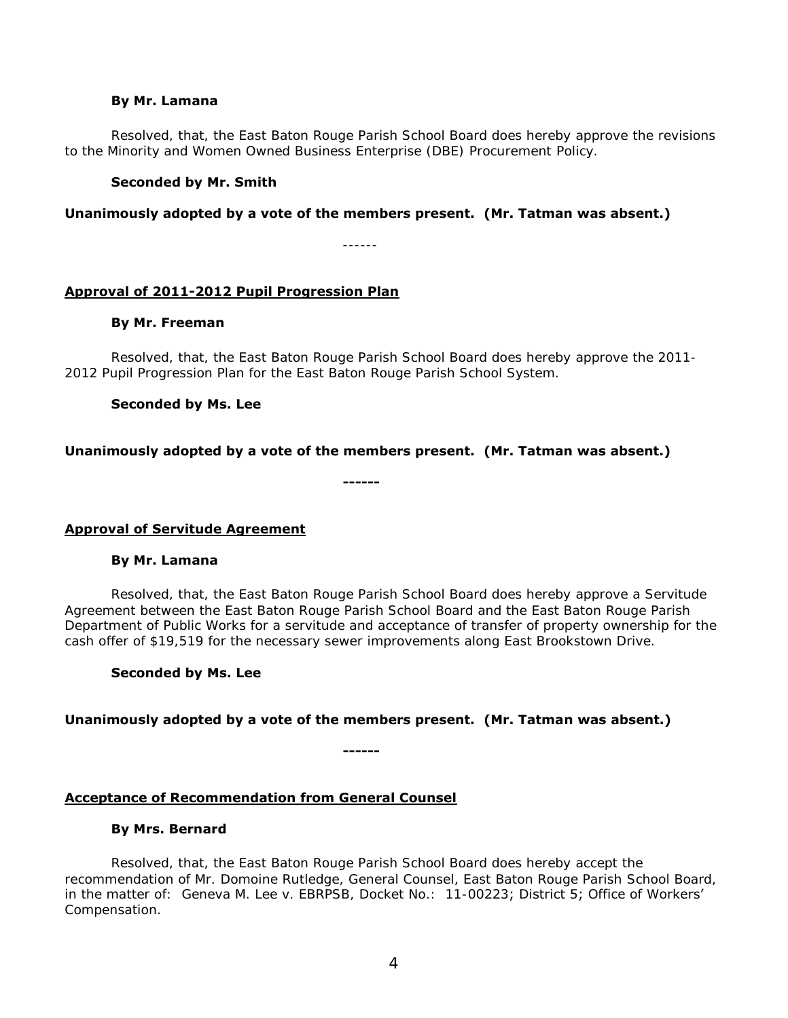#### **By Mr. Lamana**

Resolved, that, the East Baton Rouge Parish School Board does hereby approve the revisions to the Minority and Women Owned Business Enterprise (DBE) Procurement Policy.

#### **Seconded by Mr. Smith**

**Unanimously adopted by a vote of the members present. (Mr. Tatman was absent.)** 

------

### **Approval of 2011-2012 Pupil Progression Plan**

#### **By Mr. Freeman**

Resolved, that, the East Baton Rouge Parish School Board does hereby approve the 2011- 2012 Pupil Progression Plan for the East Baton Rouge Parish School System.

### **Seconded by Ms. Lee**

**Unanimously adopted by a vote of the members present. (Mr. Tatman was absent.)** 

**------** 

### **Approval of Servitude Agreement**

#### **By Mr. Lamana**

Resolved, that, the East Baton Rouge Parish School Board does hereby approve a Servitude Agreement between the East Baton Rouge Parish School Board and the East Baton Rouge Parish Department of Public Works for a servitude and acceptance of transfer of property ownership for the cash offer of \$19,519 for the necessary sewer improvements along East Brookstown Drive.

### **Seconded by Ms. Lee**

### **Unanimously adopted by a vote of the members present. (Mr. Tatman was absent.)**

**------**

### **Acceptance of Recommendation from General Counsel**

#### **By Mrs. Bernard**

Resolved, that, the East Baton Rouge Parish School Board does hereby accept the recommendation of Mr. Domoine Rutledge, General Counsel, East Baton Rouge Parish School Board, in the matter of: Geneva M. Lee v. EBRPSB, Docket No.: 11-00223; District 5; Office of Workers' Compensation.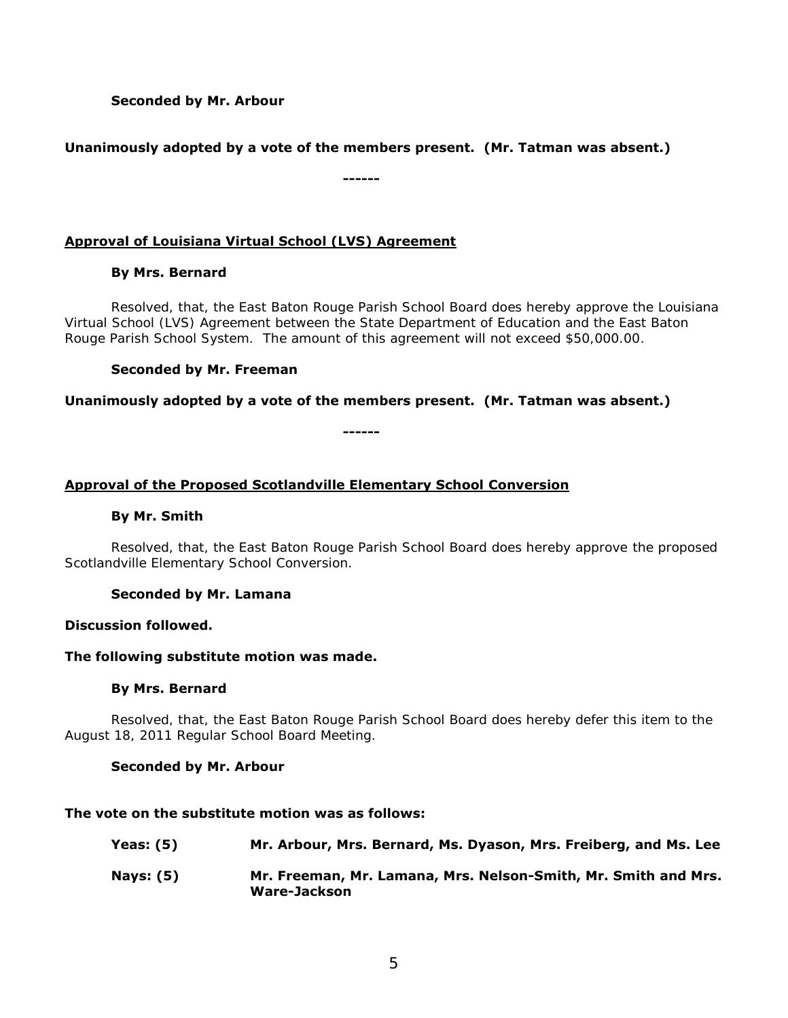## **Seconded by Mr. Arbour**

## **Unanimously adopted by a vote of the members present. (Mr. Tatman was absent.)**

**------**

## **Approval of Louisiana Virtual School (LVS) Agreement**

## **By Mrs. Bernard**

Resolved, that, the East Baton Rouge Parish School Board does hereby approve the Louisiana Virtual School (LVS) Agreement between the State Department of Education and the East Baton Rouge Parish School System. The amount of this agreement will not exceed \$50,000.00.

## **Seconded by Mr. Freeman**

## **Unanimously adopted by a vote of the members present. (Mr. Tatman was absent.)**

**------**

## **Approval of the Proposed Scotlandville Elementary School Conversion**

### **By Mr. Smith**

Resolved, that, the East Baton Rouge Parish School Board does hereby approve the proposed Scotlandville Elementary School Conversion.

## **Seconded by Mr. Lamana**

### **Discussion followed.**

### **The following substitute motion was made.**

### **By Mrs. Bernard**

 Resolved, that, the East Baton Rouge Parish School Board does hereby defer this item to the August 18, 2011 Regular School Board Meeting.

### **Seconded by Mr. Arbour**

### **The vote on the substitute motion was as follows:**

| Yeas: $(5)$ | Mr. Arbour, Mrs. Bernard, Ms. Dyason, Mrs. Freiberg, and Ms. Lee               |
|-------------|--------------------------------------------------------------------------------|
| Nays: (5)   | Mr. Freeman, Mr. Lamana, Mrs. Nelson-Smith, Mr. Smith and Mrs.<br>Ware-Jackson |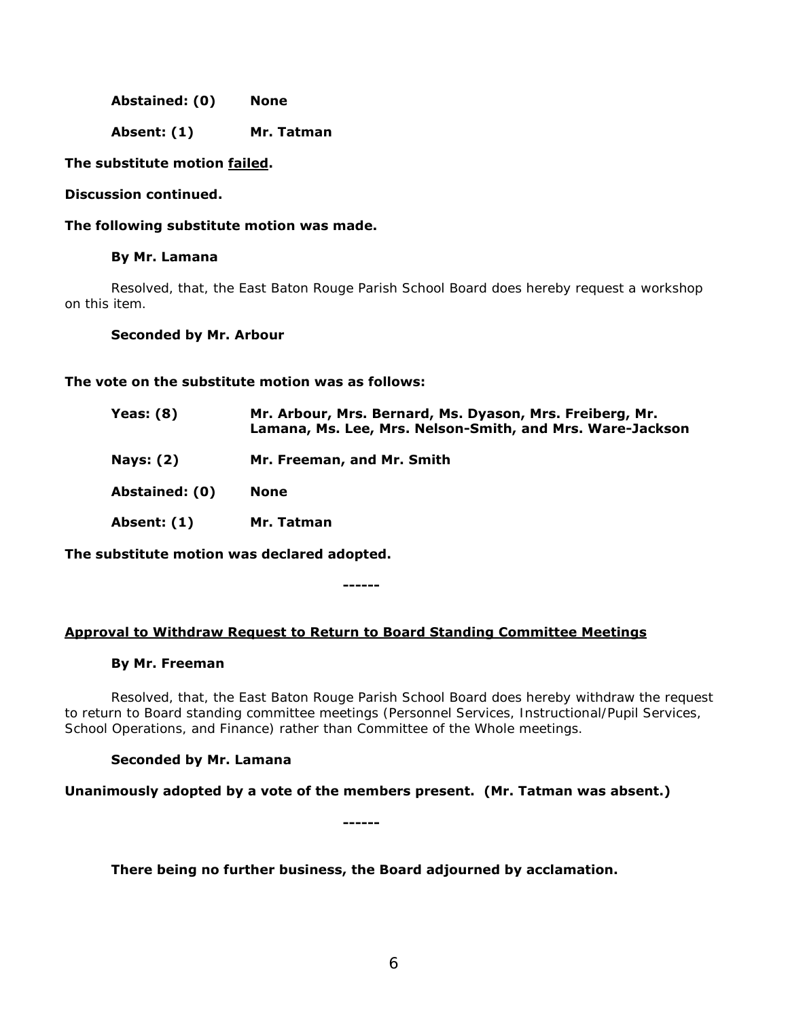**Abstained: (0) None** 

**Absent: (1) Mr. Tatman** 

### **The substitute motion failed.**

#### **Discussion continued.**

**The following substitute motion was made.** 

#### **By Mr. Lamana**

 Resolved, that, the East Baton Rouge Parish School Board does hereby request a workshop on this item.

#### **Seconded by Mr. Arbour**

### **The vote on the substitute motion was as follows:**

| <b>Yeas: (8)</b> | Mr. Arbour, Mrs. Bernard, Ms. Dyason, Mrs. Freiberg, Mr.<br>Lamana, Ms. Lee, Mrs. Nelson-Smith, and Mrs. Ware-Jackson |
|------------------|-----------------------------------------------------------------------------------------------------------------------|
| <b>Nays: (2)</b> | Mr. Freeman, and Mr. Smith                                                                                            |
| Abstained: (0)   | None                                                                                                                  |
| Absent: (1)      | Mr. Tatman                                                                                                            |

**The substitute motion was declared adopted.** 

**------**

### **Approval to Withdraw Request to Return to Board Standing Committee Meetings**

#### **By Mr. Freeman**

Resolved, that, the East Baton Rouge Parish School Board does hereby withdraw the request to return to Board standing committee meetings (Personnel Services, Instructional/Pupil Services, School Operations, and Finance) rather than Committee of the Whole meetings.

### **Seconded by Mr. Lamana**

**Unanimously adopted by a vote of the members present. (Mr. Tatman was absent.)** 

**------**

**There being no further business, the Board adjourned by acclamation.**